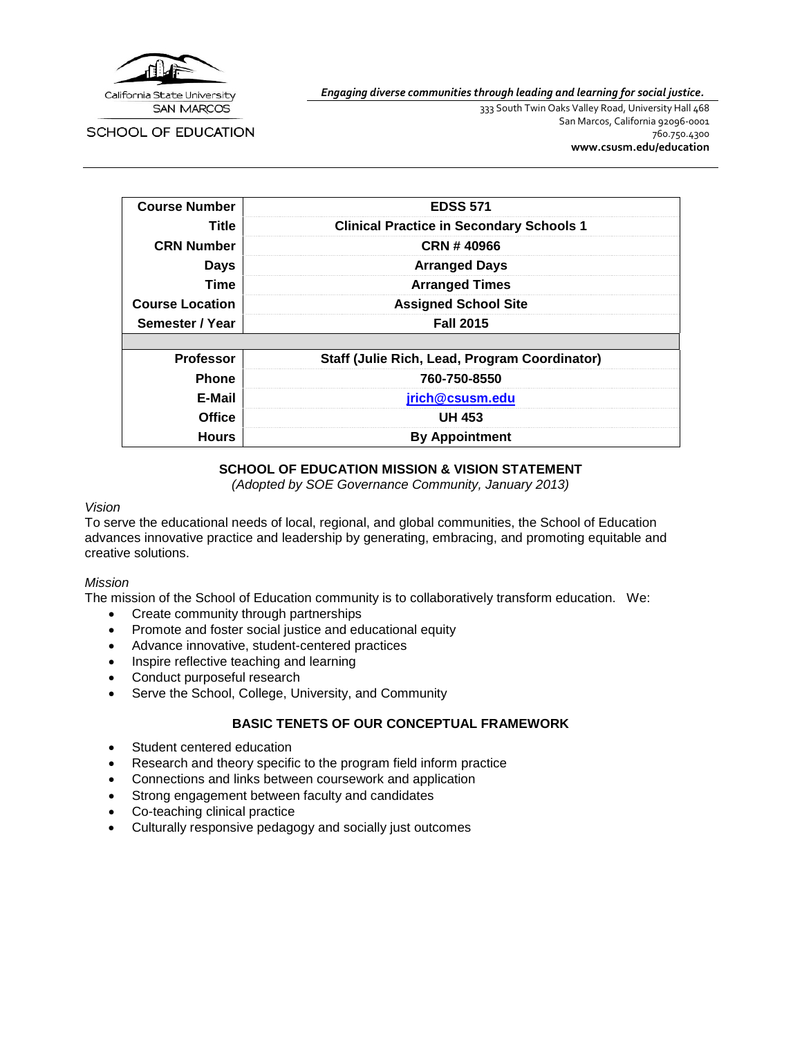

*Engaging diverse communities through leading and learning for social justice.*

SCHOOL OF EDUCATION

333 South Twin Oaks Valley Road, University Hall 468 San Marcos, California 92096-0001 760.750.4300 **[www.csusm.edu/education](http://www.csusm.edu/education)**

| <b>Course Number</b>   | <b>EDSS 571</b>                                      |
|------------------------|------------------------------------------------------|
| Title                  | <b>Clinical Practice in Secondary Schools 1</b>      |
| <b>CRN Number</b>      | CRN #40966                                           |
| <b>Days</b>            | <b>Arranged Days</b>                                 |
| Time                   | <b>Arranged Times</b>                                |
| <b>Course Location</b> | <b>Assigned School Site</b>                          |
| Semester / Year        | <b>Fall 2015</b>                                     |
|                        |                                                      |
| <b>Professor</b>       | <b>Staff (Julie Rich, Lead, Program Coordinator)</b> |
| <b>Phone</b>           | 760-750-8550                                         |
| E-Mail                 | jrich@csusm.edu                                      |
| <b>Office</b>          | <b>UH 453</b>                                        |
| <b>Hours</b>           | <b>By Appointment</b>                                |

# **SCHOOL OF EDUCATION MISSION & VISION STATEMENT**

*(Adopted by SOE Governance Community, January 2013)*

## *Vision*

To serve the educational needs of local, regional, and global communities, the School of Education advances innovative practice and leadership by generating, embracing, and promoting equitable and creative solutions.

#### *Mission*

The mission of the School of Education community is to collaboratively transform education. We:

- Create community through partnerships
- Promote and foster social justice and educational equity
- Advance innovative, student-centered practices
- Inspire reflective teaching and learning
- Conduct purposeful research
- Serve the School, College, University, and Community

# **BASIC TENETS OF OUR CONCEPTUAL FRAMEWORK**

- Student centered education
- Research and theory specific to the program field inform practice
- Connections and links between coursework and application
- Strong engagement between faculty and candidates
- Co-teaching clinical practice
- Culturally responsive pedagogy and socially just outcomes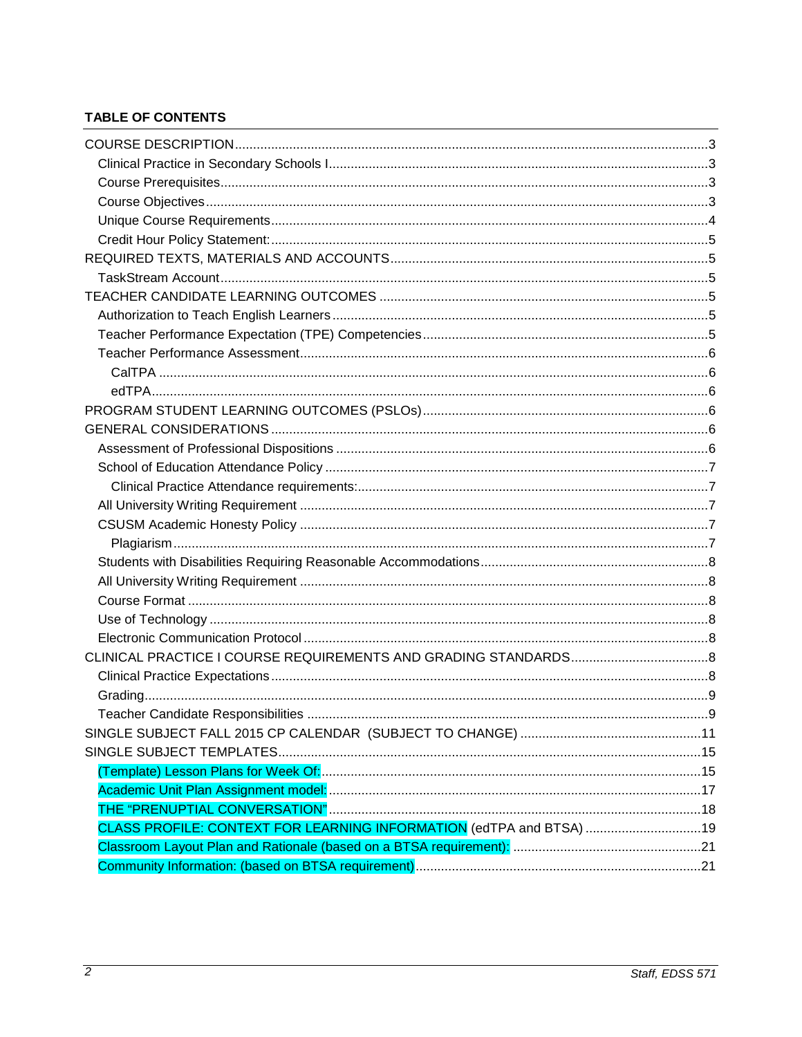# **TABLE OF CONTENTS**

| CLASS PROFILE: CONTEXT FOR LEARNING INFORMATION (edTPA and BTSA) 19 |  |
|---------------------------------------------------------------------|--|
|                                                                     |  |
|                                                                     |  |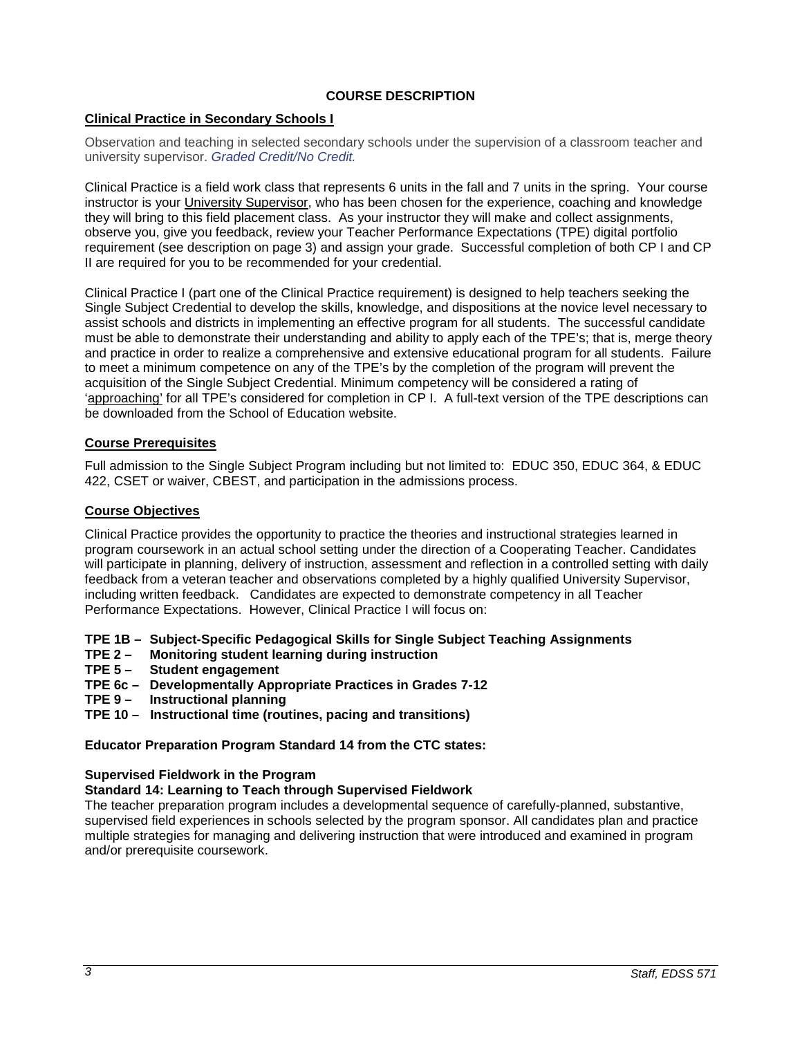## **COURSE DESCRIPTION**

## <span id="page-2-1"></span><span id="page-2-0"></span>**Clinical Practice in Secondary Schools I**

Observation and teaching in selected secondary schools under the supervision of a classroom teacher and university supervisor. *Graded Credit/No Credit.*

Clinical Practice is a field work class that represents 6 units in the fall and 7 units in the spring. Your course instructor is your University Supervisor, who has been chosen for the experience, coaching and knowledge they will bring to this field placement class. As your instructor they will make and collect assignments, observe you, give you feedback, review your Teacher Performance Expectations (TPE) digital portfolio requirement (see description on page 3) and assign your grade. Successful completion of both CP I and CP II are required for you to be recommended for your credential.

Clinical Practice I (part one of the Clinical Practice requirement) is designed to help teachers seeking the Single Subject Credential to develop the skills, knowledge, and dispositions at the novice level necessary to assist schools and districts in implementing an effective program for all students. The successful candidate must be able to demonstrate their understanding and ability to apply each of the TPE's; that is, merge theory and practice in order to realize a comprehensive and extensive educational program for all students. Failure to meet a minimum competence on any of the TPE's by the completion of the program will prevent the acquisition of the Single Subject Credential. Minimum competency will be considered a rating of 'approaching' for all TPE's considered for completion in CP I. A full-text version of the TPE descriptions can be downloaded from the School of Education website.

## <span id="page-2-2"></span>**Course Prerequisites**

Full admission to the Single Subject Program including but not limited to: EDUC 350, EDUC 364, & EDUC 422, CSET or waiver, CBEST, and participation in the admissions process.

## <span id="page-2-3"></span>**Course Objectives**

Clinical Practice provides the opportunity to practice the theories and instructional strategies learned in program coursework in an actual school setting under the direction of a Cooperating Teacher. Candidates will participate in planning, delivery of instruction, assessment and reflection in a controlled setting with daily feedback from a veteran teacher and observations completed by a highly qualified University Supervisor, including written feedback. Candidates are expected to demonstrate competency in all Teacher Performance Expectations. However, Clinical Practice I will focus on:

**TPE 1B – Subject-Specific Pedagogical Skills for Single Subject Teaching Assignments**

- **TPE 2 Monitoring student learning during instruction**
- **Student engagement**
- **TPE 6c – Developmentally Appropriate Practices in Grades 7-12**
- **TPE 9 Instructional planning**
- **TPE 10 Instructional time (routines, pacing and transitions)**

#### **Educator Preparation Program Standard 14 from the CTC states:**

#### **Supervised Fieldwork in the Program**

#### **Standard 14: Learning to Teach through Supervised Fieldwork**

The teacher preparation program includes a developmental sequence of carefully-planned, substantive, supervised field experiences in schools selected by the program sponsor. All candidates plan and practice multiple strategies for managing and delivering instruction that were introduced and examined in program and/or prerequisite coursework.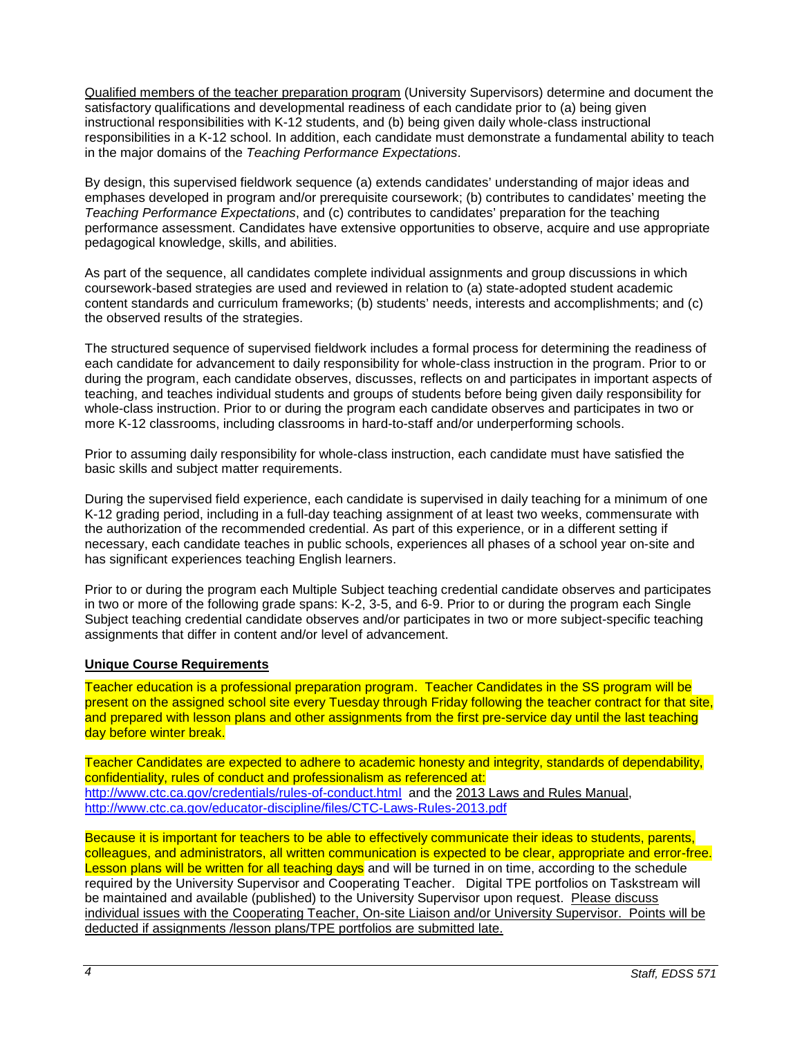Qualified members of the teacher preparation program (University Supervisors) determine and document the satisfactory qualifications and developmental readiness of each candidate prior to (a) being given instructional responsibilities with K-12 students, and (b) being given daily whole-class instructional responsibilities in a K-12 school. In addition, each candidate must demonstrate a fundamental ability to teach in the major domains of the *Teaching Performance Expectations*.

By design, this supervised fieldwork sequence (a) extends candidates' understanding of major ideas and emphases developed in program and/or prerequisite coursework; (b) contributes to candidates' meeting the *Teaching Performance Expectations*, and (c) contributes to candidates' preparation for the teaching performance assessment. Candidates have extensive opportunities to observe, acquire and use appropriate pedagogical knowledge, skills, and abilities.

As part of the sequence, all candidates complete individual assignments and group discussions in which coursework-based strategies are used and reviewed in relation to (a) state-adopted student academic content standards and curriculum frameworks; (b) students' needs, interests and accomplishments; and (c) the observed results of the strategies.

The structured sequence of supervised fieldwork includes a formal process for determining the readiness of each candidate for advancement to daily responsibility for whole-class instruction in the program. Prior to or during the program, each candidate observes, discusses, reflects on and participates in important aspects of teaching, and teaches individual students and groups of students before being given daily responsibility for whole-class instruction. Prior to or during the program each candidate observes and participates in two or more K-12 classrooms, including classrooms in hard-to-staff and/or underperforming schools.

Prior to assuming daily responsibility for whole-class instruction, each candidate must have satisfied the basic skills and subject matter requirements.

During the supervised field experience, each candidate is supervised in daily teaching for a minimum of one K-12 grading period, including in a full-day teaching assignment of at least two weeks, commensurate with the authorization of the recommended credential. As part of this experience, or in a different setting if necessary, each candidate teaches in public schools, experiences all phases of a school year on-site and has significant experiences teaching English learners.

Prior to or during the program each Multiple Subject teaching credential candidate observes and participates in two or more of the following grade spans: K-2, 3-5, and 6-9. Prior to or during the program each Single Subject teaching credential candidate observes and/or participates in two or more subject-specific teaching assignments that differ in content and/or level of advancement.

#### <span id="page-3-0"></span>**Unique Course Requirements**

Teacher education is a professional preparation program. Teacher Candidates in the SS program will be present on the assigned school site every Tuesday through Friday following the teacher contract for that site, and prepared with lesson plans and other assignments from the first pre-service day until the last teaching day before winter break.

Teacher Candidates are expected to adhere to academic honesty and integrity, standards of dependability, confidentiality, rules of conduct and professionalism as referenced at: <http://www.ctc.ca.gov/credentials/rules-of-conduct.html>and the 2013 Laws and Rules Manual, <http://www.ctc.ca.gov/educator-discipline/files/CTC-Laws-Rules-2013.pdf>

Because it is important for teachers to be able to effectively communicate their ideas to students, parents, colleagues, and administrators, all written communication is expected to be clear, appropriate and error-free. Lesson plans will be written for all teaching days and will be turned in on time, according to the schedule required by the University Supervisor and Cooperating Teacher. Digital TPE portfolios on Taskstream will be maintained and available (published) to the University Supervisor upon request. Please discuss individual issues with the Cooperating Teacher, On-site Liaison and/or University Supervisor. Points will be deducted if assignments /lesson plans/TPE portfolios are submitted late.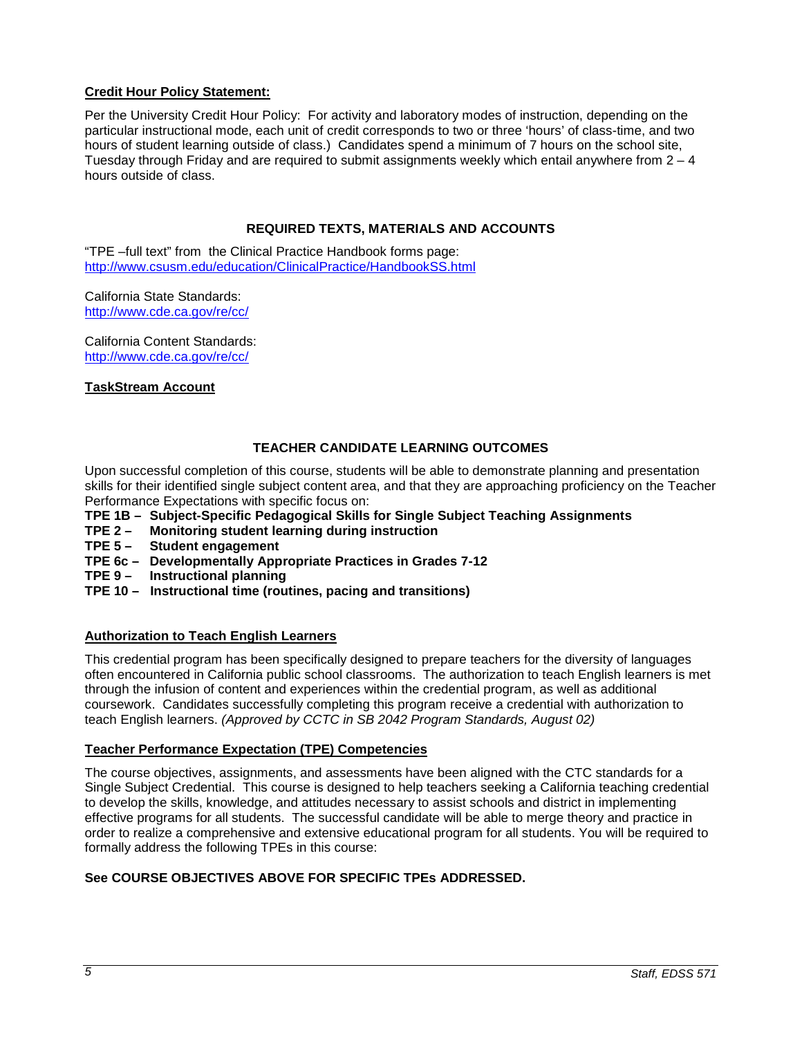# <span id="page-4-0"></span>**Credit Hour Policy Statement:**

Per the University Credit Hour Policy: For activity and laboratory modes of instruction, depending on the particular instructional mode, each unit of credit corresponds to two or three 'hours' of class-time, and two hours of student learning outside of class.) Candidates spend a minimum of 7 hours on the school site, Tuesday through Friday and are required to submit assignments weekly which entail anywhere from  $2 - 4$ hours outside of class.

# **REQUIRED TEXTS, MATERIALS AND ACCOUNTS**

<span id="page-4-1"></span>"TPE –full text" from the Clinical Practice Handbook forms page: <http://www.csusm.edu/education/ClinicalPractice/HandbookSS.html>

California State Standards: <http://www.cde.ca.gov/re/cc/>

California Content Standards: <http://www.cde.ca.gov/re/cc/>

## <span id="page-4-2"></span>**TaskStream Account**

# **TEACHER CANDIDATE LEARNING OUTCOMES**

<span id="page-4-3"></span>Upon successful completion of this course, students will be able to demonstrate planning and presentation skills for their identified single subject content area, and that they are approaching proficiency on the Teacher Performance Expectations with specific focus on:

- **TPE 1B – Subject-Specific Pedagogical Skills for Single Subject Teaching Assignments**
- **Monitoring student learning during instruction**
- **TPE 5 Student engagement**
- **TPE 6c – Developmentally Appropriate Practices in Grades 7-12**
- **TPE 9 Instructional planning**
- **TPE 10 Instructional time (routines, pacing and transitions)**

# <span id="page-4-4"></span>**Authorization to Teach English Learners**

This credential program has been specifically designed to prepare teachers for the diversity of languages often encountered in California public school classrooms. The authorization to teach English learners is met through the infusion of content and experiences within the credential program, as well as additional coursework. Candidates successfully completing this program receive a credential with authorization to teach English learners. *(Approved by CCTC in SB 2042 Program Standards, August 02)*

#### <span id="page-4-5"></span>**Teacher Performance Expectation (TPE) Competencies**

The course objectives, assignments, and assessments have been aligned with the CTC standards for a Single Subject Credential. This course is designed to help teachers seeking a California teaching credential to develop the skills, knowledge, and attitudes necessary to assist schools and district in implementing effective programs for all students. The successful candidate will be able to merge theory and practice in order to realize a comprehensive and extensive educational program for all students. You will be required to formally address the following TPEs in this course:

# **See COURSE OBJECTIVES ABOVE FOR SPECIFIC TPEs ADDRESSED.**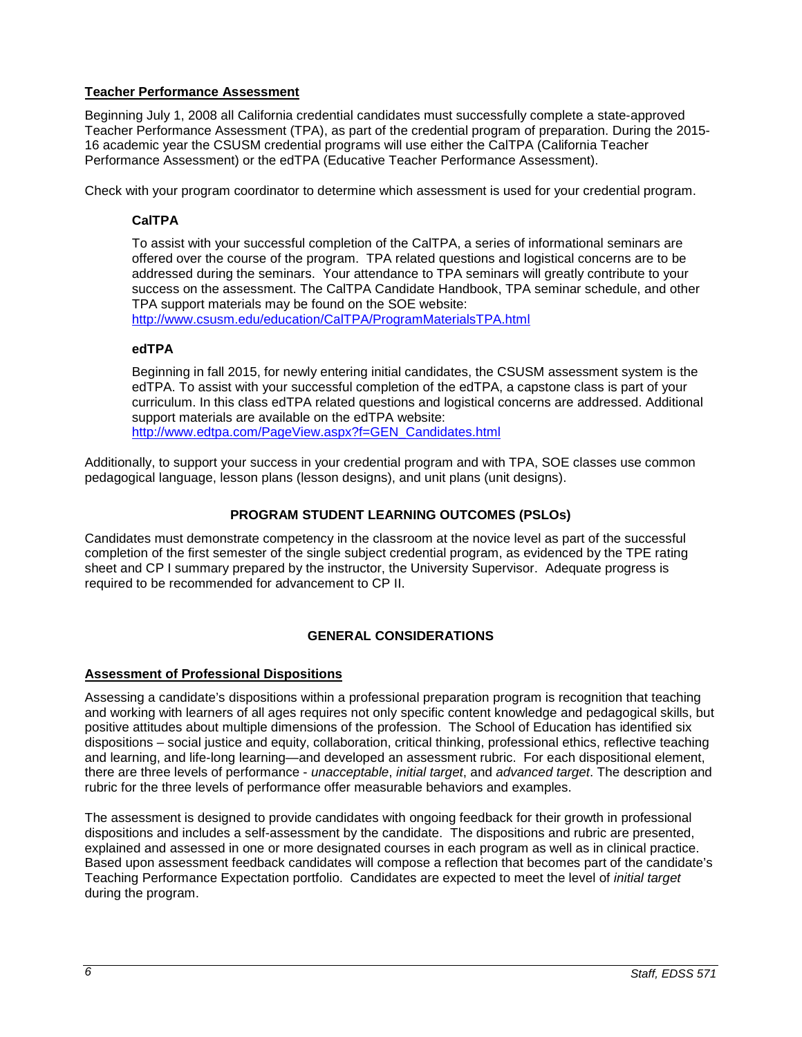# <span id="page-5-0"></span>**Teacher Performance Assessment**

Beginning July 1, 2008 all California credential candidates must successfully complete a state-approved Teacher Performance Assessment (TPA), as part of the credential program of preparation. During the 2015- 16 academic year the CSUSM credential programs will use either the CalTPA (California Teacher Performance Assessment) or the edTPA (Educative Teacher Performance Assessment).

<span id="page-5-1"></span>Check with your program coordinator to determine which assessment is used for your credential program.

# **CalTPA**

To assist with your successful completion of the CalTPA, a series of informational seminars are offered over the course of the program. TPA related questions and logistical concerns are to be addressed during the seminars. Your attendance to TPA seminars will greatly contribute to your success on the assessment. The CalTPA Candidate Handbook, TPA seminar schedule, and other TPA support materials may be found on the SOE website:

<http://www.csusm.edu/education/CalTPA/ProgramMaterialsTPA.html>

# <span id="page-5-2"></span>**edTPA**

Beginning in fall 2015, for newly entering initial candidates, the CSUSM assessment system is the edTPA. To assist with your successful completion of the edTPA, a capstone class is part of your curriculum. In this class edTPA related questions and logistical concerns are addressed. Additional support materials are available on the edTPA website: [http://www.edtpa.com/PageView.aspx?f=GEN\\_Candidates.html](http://www.edtpa.com/PageView.aspx?f=GEN_Candidates.html)

Additionally, to support your success in your credential program and with TPA, SOE classes use common pedagogical language, lesson plans (lesson designs), and unit plans (unit designs).

# **PROGRAM STUDENT LEARNING OUTCOMES (PSLOs)**

<span id="page-5-3"></span>Candidates must demonstrate competency in the classroom at the novice level as part of the successful completion of the first semester of the single subject credential program, as evidenced by the TPE rating sheet and CP I summary prepared by the instructor, the University Supervisor. Adequate progress is required to be recommended for advancement to CP II.

# **GENERAL CONSIDERATIONS**

# <span id="page-5-5"></span><span id="page-5-4"></span>**Assessment of Professional Dispositions**

Assessing a candidate's dispositions within a professional preparation program is recognition that teaching and working with learners of all ages requires not only specific content knowledge and pedagogical skills, but positive attitudes about multiple dimensions of the profession. The School of Education has identified six dispositions – social justice and equity, collaboration, critical thinking, professional ethics, reflective teaching and learning, and life-long learning—and developed an assessment rubric. For each dispositional element, there are three levels of performance - *unacceptable*, *initial target*, and *advanced target*. The description and rubric for the three levels of performance offer measurable behaviors and examples.

The assessment is designed to provide candidates with ongoing feedback for their growth in professional dispositions and includes a self-assessment by the candidate. The dispositions and rubric are presented, explained and assessed in one or more designated courses in each program as well as in clinical practice. Based upon assessment feedback candidates will compose a reflection that becomes part of the candidate's Teaching Performance Expectation portfolio. Candidates are expected to meet the level of *initial target* during the program.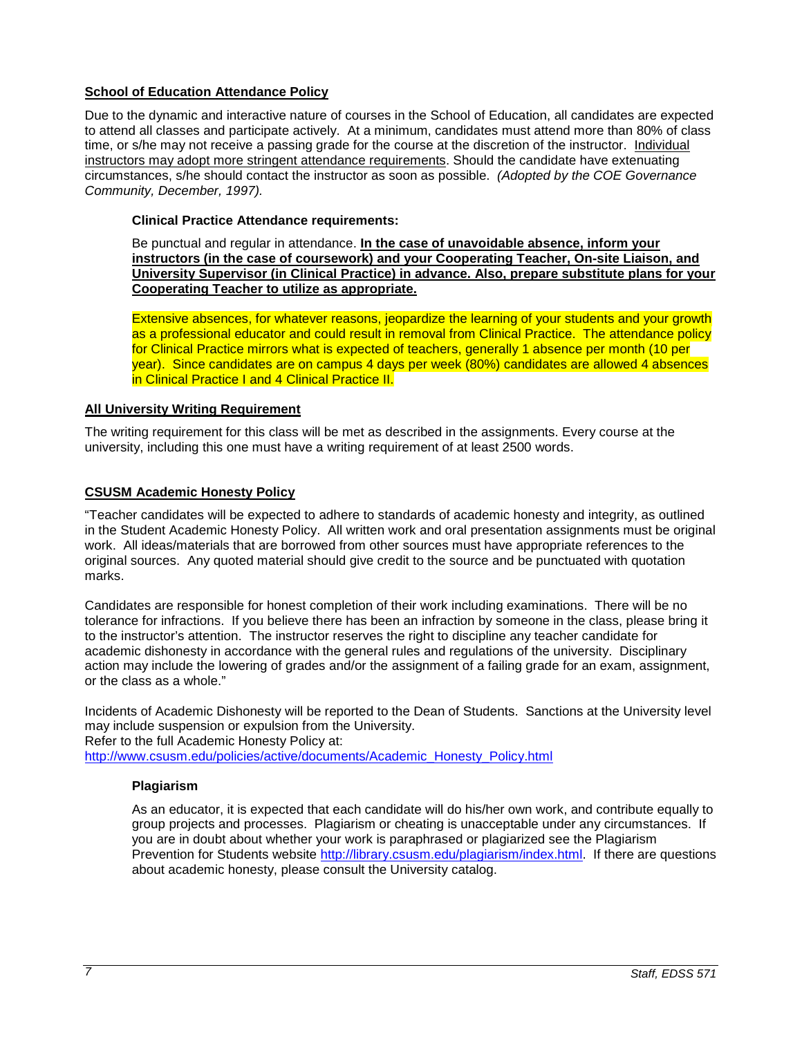# <span id="page-6-0"></span>**School of Education Attendance Policy**

Due to the dynamic and interactive nature of courses in the School of Education, all candidates are expected to attend all classes and participate actively. At a minimum, candidates must attend more than 80% of class time, or s/he may not receive a passing grade for the course at the discretion of the instructor. Individual instructors may adopt more stringent attendance requirements. Should the candidate have extenuating circumstances, s/he should contact the instructor as soon as possible. *(Adopted by the COE Governance Community, December, 1997).*

# <span id="page-6-1"></span>**Clinical Practice Attendance requirements:**

Be punctual and regular in attendance. **In the case of unavoidable absence, inform your instructors (in the case of coursework) and your Cooperating Teacher, On-site Liaison, and University Supervisor (in Clinical Practice) in advance. Also, prepare substitute plans for your Cooperating Teacher to utilize as appropriate.**

Extensive absences, for whatever reasons, jeopardize the learning of your students and your growth as a professional educator and could result in removal from Clinical Practice. The attendance policy for Clinical Practice mirrors what is expected of teachers, generally 1 absence per month (10 per year). Since candidates are on campus 4 days per week (80%) candidates are allowed 4 absences in Clinical Practice I and 4 Clinical Practice II.

# <span id="page-6-2"></span>**All University Writing Requirement**

The writing requirement for this class will be met as described in the assignments. Every course at the university, including this one must have a writing requirement of at least 2500 words.

# <span id="page-6-3"></span>**CSUSM Academic Honesty Policy**

"Teacher candidates will be expected to adhere to standards of academic honesty and integrity, as outlined in the Student Academic Honesty Policy. All written work and oral presentation assignments must be original work. All ideas/materials that are borrowed from other sources must have appropriate references to the original sources. Any quoted material should give credit to the source and be punctuated with quotation marks.

Candidates are responsible for honest completion of their work including examinations. There will be no tolerance for infractions. If you believe there has been an infraction by someone in the class, please bring it to the instructor's attention. The instructor reserves the right to discipline any teacher candidate for academic dishonesty in accordance with the general rules and regulations of the university. Disciplinary action may include the lowering of grades and/or the assignment of a failing grade for an exam, assignment, or the class as a whole."

Incidents of Academic Dishonesty will be reported to the Dean of Students. Sanctions at the University level may include suspension or expulsion from the University.

Refer to the full Academic Honesty Policy at:

<span id="page-6-4"></span>[http://www.csusm.edu/policies/active/documents/Academic\\_Honesty\\_Policy.html](http://www.csusm.edu/policies/active/documents/Academic_Honesty_Policy.html)

# **Plagiarism**

As an educator, it is expected that each candidate will do his/her own work, and contribute equally to group projects and processes. Plagiarism or cheating is unacceptable under any circumstances. If you are in doubt about whether your work is paraphrased or plagiarized see the Plagiarism Prevention for Students website [http://library.csusm.edu/plagiarism/index.html.](http://library.csusm.edu/plagiarism/index.html) If there are questions about academic honesty, please consult the University catalog.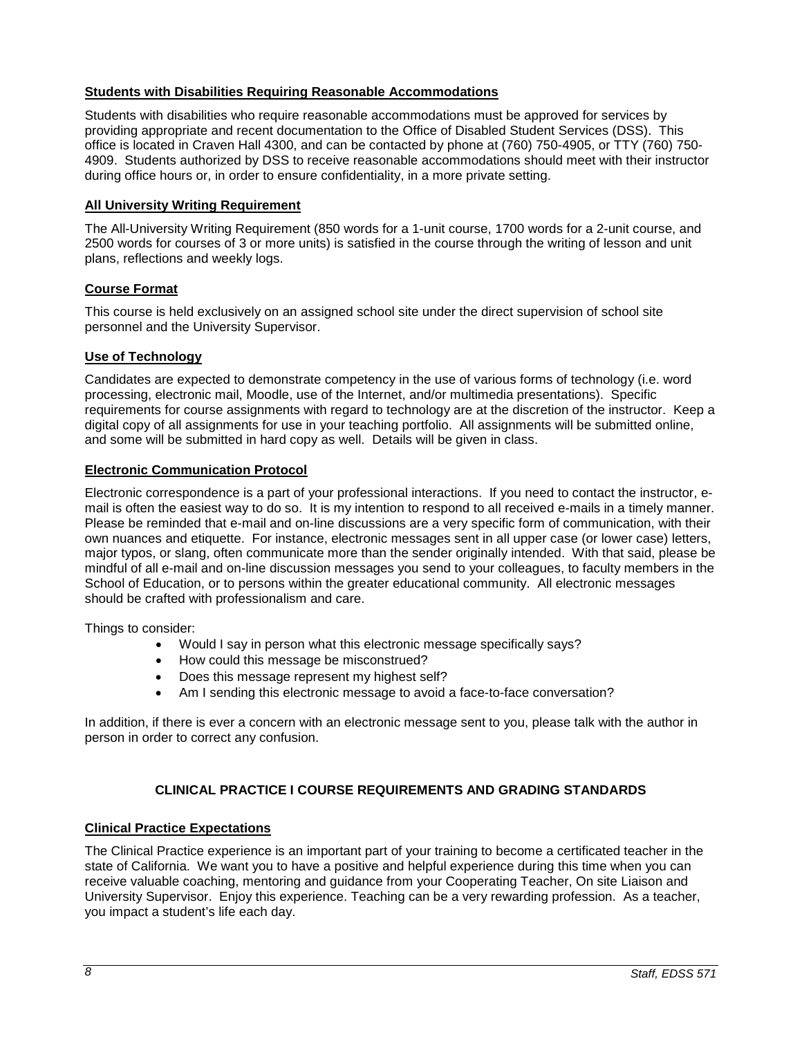## <span id="page-7-0"></span>**Students with Disabilities Requiring Reasonable Accommodations**

Students with disabilities who require reasonable accommodations must be approved for services by providing appropriate and recent documentation to the Office of Disabled Student Services (DSS). This office is located in Craven Hall 4300, and can be contacted by phone at (760) 750-4905, or TTY (760) 750- 4909. Students authorized by DSS to receive reasonable accommodations should meet with their instructor during office hours or, in order to ensure confidentiality, in a more private setting.

## <span id="page-7-1"></span>**All University Writing Requirement**

The All-University Writing Requirement (850 words for a 1-unit course, 1700 words for a 2-unit course, and 2500 words for courses of 3 or more units) is satisfied in the course through the writing of lesson and unit plans, reflections and weekly logs.

## <span id="page-7-2"></span>**Course Format**

This course is held exclusively on an assigned school site under the direct supervision of school site personnel and the University Supervisor.

## <span id="page-7-3"></span>**Use of Technology**

Candidates are expected to demonstrate competency in the use of various forms of technology (i.e. word processing, electronic mail, Moodle, use of the Internet, and/or multimedia presentations). Specific requirements for course assignments with regard to technology are at the discretion of the instructor. Keep a digital copy of all assignments for use in your teaching portfolio. All assignments will be submitted online, and some will be submitted in hard copy as well. Details will be given in class.

## <span id="page-7-4"></span>**Electronic Communication Protocol**

Electronic correspondence is a part of your professional interactions. If you need to contact the instructor, email is often the easiest way to do so. It is my intention to respond to all received e-mails in a timely manner. Please be reminded that e-mail and on-line discussions are a very specific form of communication, with their own nuances and etiquette. For instance, electronic messages sent in all upper case (or lower case) letters, major typos, or slang, often communicate more than the sender originally intended. With that said, please be mindful of all e-mail and on-line discussion messages you send to your colleagues, to faculty members in the School of Education, or to persons within the greater educational community. All electronic messages should be crafted with professionalism and care.

Things to consider:

- Would I say in person what this electronic message specifically says?
- How could this message be misconstrued?
- Does this message represent my highest self?
- Am I sending this electronic message to avoid a face-to-face conversation?

In addition, if there is ever a concern with an electronic message sent to you, please talk with the author in person in order to correct any confusion.

# **CLINICAL PRACTICE I COURSE REQUIREMENTS AND GRADING STANDARDS**

#### <span id="page-7-6"></span><span id="page-7-5"></span>**Clinical Practice Expectations**

The Clinical Practice experience is an important part of your training to become a certificated teacher in the state of California. We want you to have a positive and helpful experience during this time when you can receive valuable coaching, mentoring and guidance from your Cooperating Teacher, On site Liaison and University Supervisor. Enjoy this experience. Teaching can be a very rewarding profession. As a teacher, you impact a student's life each day.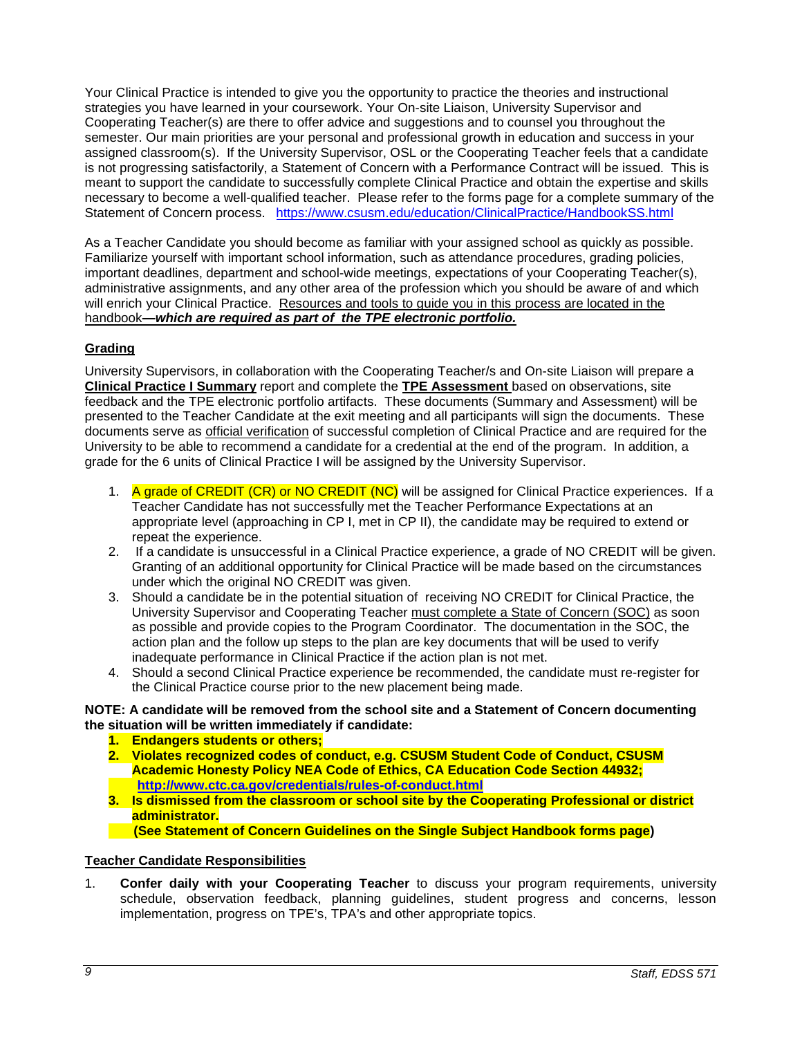Your Clinical Practice is intended to give you the opportunity to practice the theories and instructional strategies you have learned in your coursework. Your On-site Liaison, University Supervisor and Cooperating Teacher(s) are there to offer advice and suggestions and to counsel you throughout the semester. Our main priorities are your personal and professional growth in education and success in your assigned classroom(s). If the University Supervisor, OSL or the Cooperating Teacher feels that a candidate is not progressing satisfactorily, a Statement of Concern with a Performance Contract will be issued. This is meant to support the candidate to successfully complete Clinical Practice and obtain the expertise and skills necessary to become a well-qualified teacher. Please refer to the forms page for a complete summary of the Statement of Concern process. <https://www.csusm.edu/education/ClinicalPractice/HandbookSS.html>

As a Teacher Candidate you should become as familiar with your assigned school as quickly as possible. Familiarize yourself with important school information, such as attendance procedures, grading policies, important deadlines, department and school-wide meetings, expectations of your Cooperating Teacher(s), administrative assignments, and any other area of the profession which you should be aware of and which will enrich your Clinical Practice. Resources and tools to guide you in this process are located in the handbook**—***which are required as part of the TPE electronic portfolio.*

# <span id="page-8-0"></span>**Grading**

University Supervisors, in collaboration with the Cooperating Teacher/s and On-site Liaison will prepare a **Clinical Practice I Summary** report and complete the **TPE Assessment** based on observations, site feedback and the TPE electronic portfolio artifacts. These documents (Summary and Assessment) will be presented to the Teacher Candidate at the exit meeting and all participants will sign the documents. These documents serve as official verification of successful completion of Clinical Practice and are required for the University to be able to recommend a candidate for a credential at the end of the program. In addition, a grade for the 6 units of Clinical Practice I will be assigned by the University Supervisor.

- 1. A grade of CREDIT (CR) or NO CREDIT (NC) will be assigned for Clinical Practice experiences. If a Teacher Candidate has not successfully met the Teacher Performance Expectations at an appropriate level (approaching in CP I, met in CP II), the candidate may be required to extend or repeat the experience.
- 2. If a candidate is unsuccessful in a Clinical Practice experience, a grade of NO CREDIT will be given. Granting of an additional opportunity for Clinical Practice will be made based on the circumstances under which the original NO CREDIT was given.
- 3. Should a candidate be in the potential situation of receiving NO CREDIT for Clinical Practice, the University Supervisor and Cooperating Teacher must complete a State of Concern (SOC) as soon as possible and provide copies to the Program Coordinator. The documentation in the SOC, the action plan and the follow up steps to the plan are key documents that will be used to verify inadequate performance in Clinical Practice if the action plan is not met.
- 4. Should a second Clinical Practice experience be recommended, the candidate must re-register for the Clinical Practice course prior to the new placement being made.

## **NOTE: A candidate will be removed from the school site and a Statement of Concern documenting the situation will be written immediately if candidate:**

- **1. Endangers students or others;**
- **2. Violates recognized codes of conduct, e.g. CSUSM Student Code of Conduct, CSUSM Academic Honesty Policy NEA Code of Ethics, CA Education Code Section 44932; <http://www.ctc.ca.gov/credentials/rules-of-conduct.html>**
- **3. Is dismissed from the classroom or school site by the Cooperating Professional or district administrator.**

 **(See Statement of Concern Guidelines on the Single Subject Handbook forms page)** 

# <span id="page-8-1"></span>**Teacher Candidate Responsibilities**

1. **Confer daily with your Cooperating Teacher** to discuss your program requirements, university schedule, observation feedback, planning guidelines, student progress and concerns, lesson implementation, progress on TPE's, TPA's and other appropriate topics.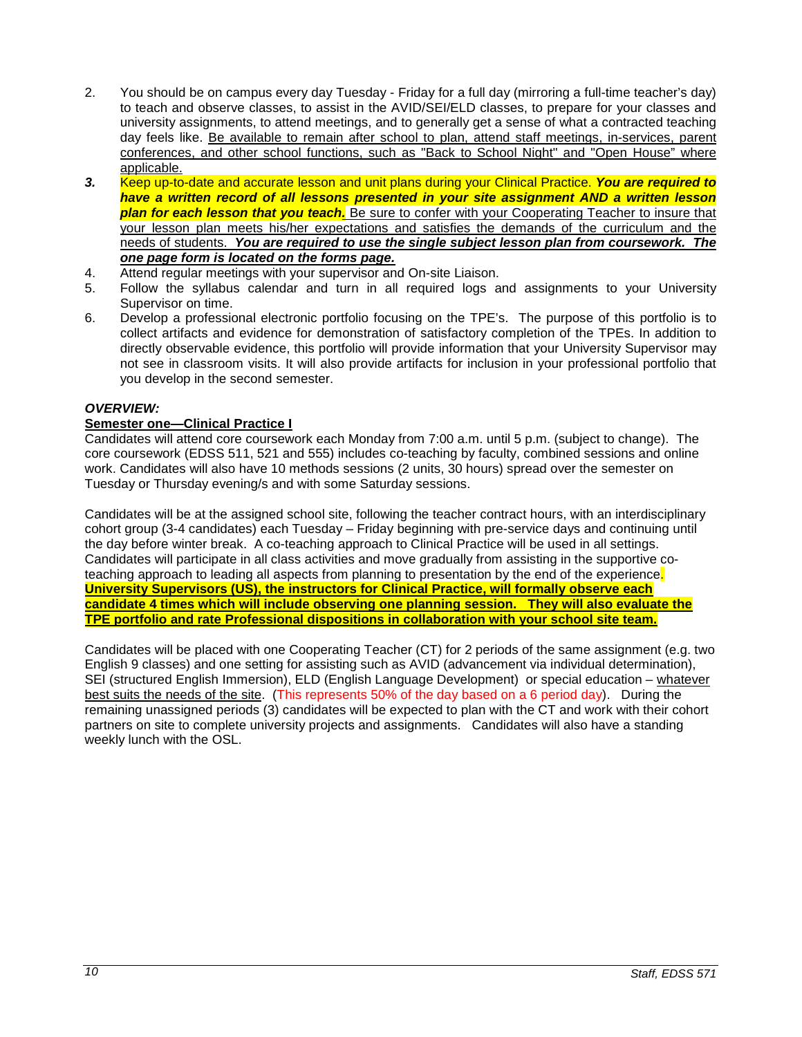- 2. You should be on campus every day Tuesday Friday for a full day (mirroring a full-time teacher's day) to teach and observe classes, to assist in the AVID/SEI/ELD classes, to prepare for your classes and university assignments, to attend meetings, and to generally get a sense of what a contracted teaching day feels like. Be available to remain after school to plan, attend staff meetings, in-services, parent conferences, and other school functions, such as "Back to School Night" and "Open House" where applicable.
- *3.* Keep up-to-date and accurate lesson and unit plans during your Clinical Practice. *You are required to have a written record of all lessons presented in your site assignment AND a written lesson plan for each lesson that you teach.* Be sure to confer with your Cooperating Teacher to insure that your lesson plan meets his/her expectations and satisfies the demands of the curriculum and the needs of students. *You are required to use the single subject lesson plan from coursework. The one page form is located on the forms page.*
- 4. Attend regular meetings with your supervisor and On-site Liaison.
- 5. Follow the syllabus calendar and turn in all required logs and assignments to your University Supervisor on time.
- 6. Develop a professional electronic portfolio focusing on the TPE's. The purpose of this portfolio is to collect artifacts and evidence for demonstration of satisfactory completion of the TPEs. In addition to directly observable evidence, this portfolio will provide information that your University Supervisor may not see in classroom visits. It will also provide artifacts for inclusion in your professional portfolio that you develop in the second semester.

## *OVERVIEW:*

#### **Semester one—Clinical Practice I**

Candidates will attend core coursework each Monday from 7:00 a.m. until 5 p.m. (subject to change). The core coursework (EDSS 511, 521 and 555) includes co-teaching by faculty, combined sessions and online work. Candidates will also have 10 methods sessions (2 units, 30 hours) spread over the semester on Tuesday or Thursday evening/s and with some Saturday sessions.

Candidates will be at the assigned school site, following the teacher contract hours, with an interdisciplinary cohort group (3-4 candidates) each Tuesday – Friday beginning with pre-service days and continuing until the day before winter break. A co-teaching approach to Clinical Practice will be used in all settings. Candidates will participate in all class activities and move gradually from assisting in the supportive coteaching approach to leading all aspects from planning to presentation by the end of the experience. **University Supervisors (US), the instructors for Clinical Practice, will formally observe each candidate 4 times which will include observing one planning session. They will also evaluate the TPE portfolio and rate Professional dispositions in collaboration with your school site team.**

Candidates will be placed with one Cooperating Teacher (CT) for 2 periods of the same assignment (e.g. two English 9 classes) and one setting for assisting such as AVID (advancement via individual determination), SEI (structured English Immersion), ELD (English Language Development) or special education – whatever best suits the needs of the site. (This represents 50% of the day based on a 6 period day). During the remaining unassigned periods (3) candidates will be expected to plan with the CT and work with their cohort partners on site to complete university projects and assignments. Candidates will also have a standing weekly lunch with the OSL.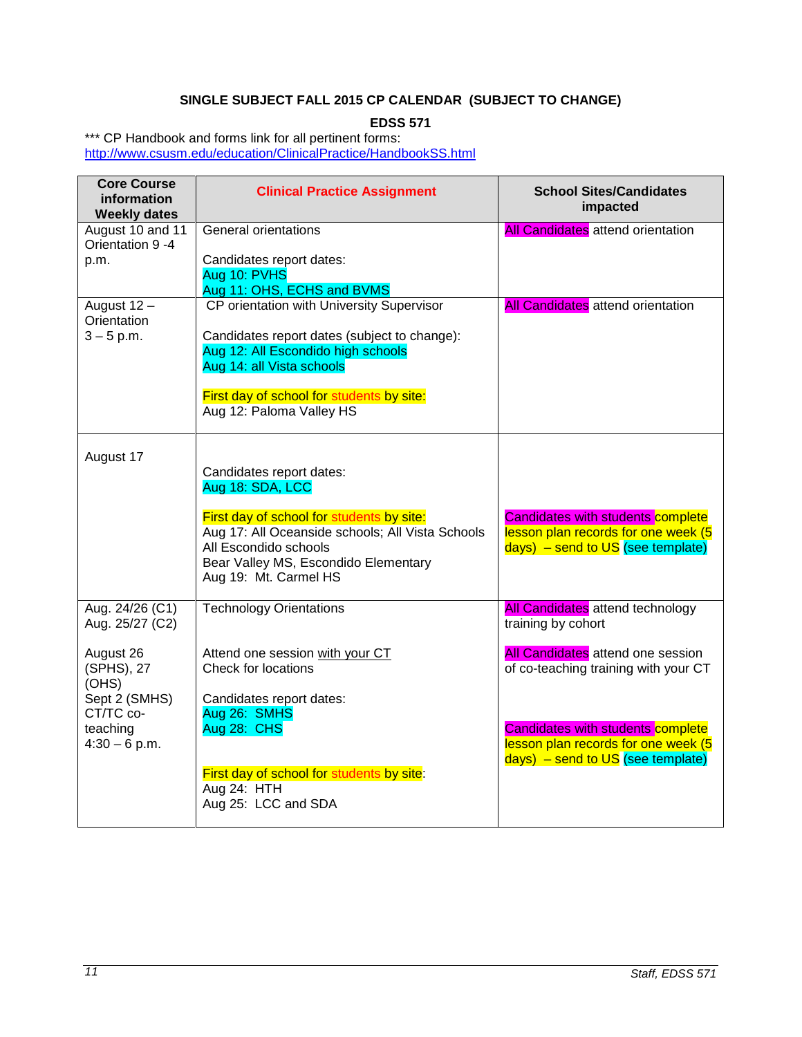# **SINGLE SUBJECT FALL 2015 CP CALENDAR (SUBJECT TO CHANGE)**

**EDSS 571**

<span id="page-10-0"></span>\*\*\* CP Handbook and forms link for all pertinent forms: <http://www.csusm.edu/education/ClinicalPractice/HandbookSS.html>

| <b>Core Course</b><br>information<br><b>Weekly dates</b>                         | <b>Clinical Practice Assignment</b>                                                                                                                                                                                                     | <b>School Sites/Candidates</b><br>impacted                                                                                                                     |
|----------------------------------------------------------------------------------|-----------------------------------------------------------------------------------------------------------------------------------------------------------------------------------------------------------------------------------------|----------------------------------------------------------------------------------------------------------------------------------------------------------------|
| August 10 and 11<br>Orientation 9 -4<br>p.m.                                     | General orientations<br>Candidates report dates:<br>Aug 10: PVHS<br>Aug 11: OHS, ECHS and BVMS                                                                                                                                          | <b>All Candidates</b> attend orientation                                                                                                                       |
| August 12 -<br>Orientation<br>$3 - 5$ p.m.                                       | CP orientation with University Supervisor<br>Candidates report dates (subject to change):<br>Aug 12: All Escondido high schools<br>Aug 14: all Vista schools<br>First day of school for students by site:<br>Aug 12: Paloma Valley HS   | <b>All Candidates</b> attend orientation                                                                                                                       |
| August 17                                                                        | Candidates report dates:<br>Aug 18: SDA, LCC<br>First day of school for students by site:<br>Aug 17: All Oceanside schools; All Vista Schools<br>All Escondido schools<br>Bear Valley MS, Escondido Elementary<br>Aug 19: Mt. Carmel HS | <b>Candidates with students complete</b><br>lesson plan records for one week (5<br>$days)$ – send to US (see template)                                         |
| Aug. 24/26 (C1)<br>Aug. 25/27 (C2)<br>August 26                                  | <b>Technology Orientations</b><br>Attend one session with your CT                                                                                                                                                                       | <b>All Candidates</b> attend technology<br>training by cohort<br><b>All Candidates</b> attend one session                                                      |
| (SPHS), 27<br>(OHS)<br>Sept 2 (SMHS)<br>CT/TC co-<br>teaching<br>$4:30 - 6$ p.m. | Check for locations<br>Candidates report dates:<br>Aug 26: SMHS<br>Aug 28: CHS<br>First day of school for students by site:<br>Aug 24: HTH<br>Aug 25: LCC and SDA                                                                       | of co-teaching training with your CT<br><b>Candidates with students complete</b><br>lesson plan records for one week (5<br>$days)$ – send to US (see template) |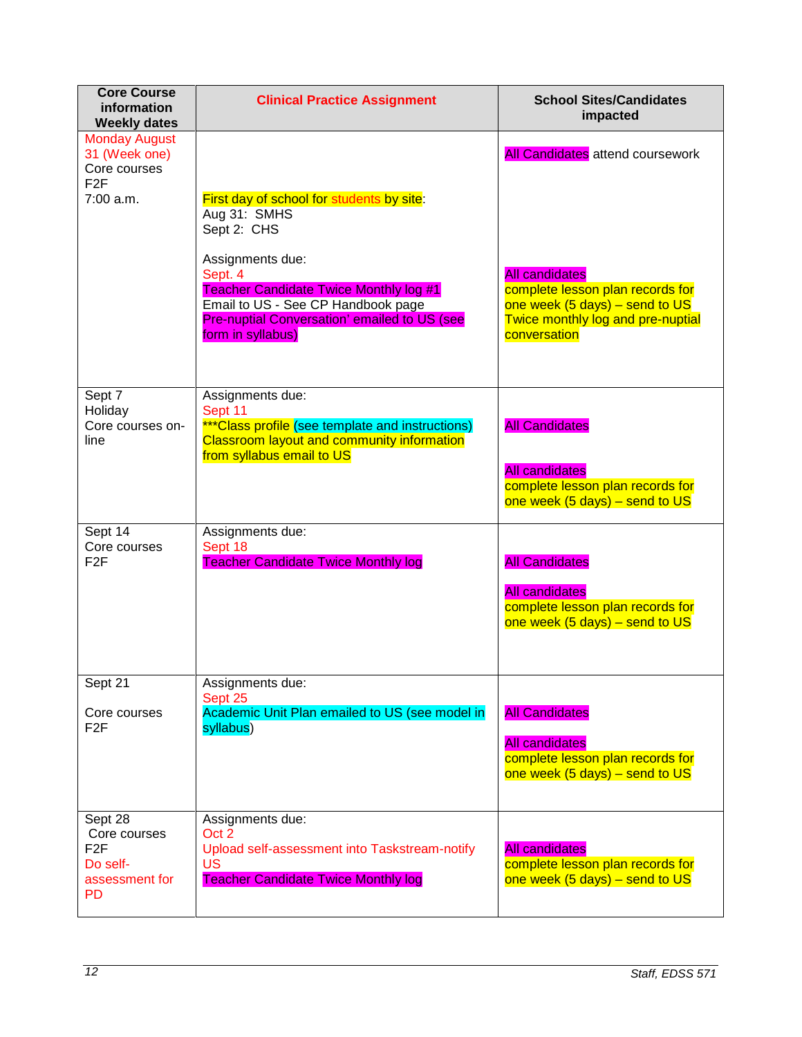| <b>Core Course</b><br>information<br><b>Weekly dates</b>                        | <b>Clinical Practice Assignment</b>                                                                                                                                                     | <b>School Sites/Candidates</b><br>impacted                                                                                                                                 |
|---------------------------------------------------------------------------------|-----------------------------------------------------------------------------------------------------------------------------------------------------------------------------------------|----------------------------------------------------------------------------------------------------------------------------------------------------------------------------|
| <b>Monday August</b><br>31 (Week one)<br>Core courses<br>F <sub>2F</sub>        |                                                                                                                                                                                         | <b>All Candidates</b> attend coursework                                                                                                                                    |
| 7:00 a.m.                                                                       | First day of school for students by site:<br>Aug 31: SMHS<br>Sept 2: CHS                                                                                                                |                                                                                                                                                                            |
|                                                                                 | Assignments due:<br>Sept. 4<br><b>Teacher Candidate Twice Monthly log #1</b><br>Email to US - See CP Handbook page<br>Pre-nuptial Conversation' emailed to US (see<br>form in syllabus) | <b>All candidates</b><br>complete lesson plan records for<br>one week $(5 \text{ days})$ – send to US<br>Twice monthly log and pre-nuptial<br>conversation                 |
| Sept 7<br>Holiday<br>Core courses on-<br>line                                   | Assignments due:<br>Sept 11<br>***Class profile (see template and instructions)<br>Classroom layout and community information<br>from syllabus email to US                              | <b>All Candidates</b><br><b>All candidates</b><br>complete lesson plan records for                                                                                         |
| Sept 14<br>Core courses<br>F <sub>2F</sub>                                      | Assignments due:<br>Sept 18<br><b>Teacher Candidate Twice Monthly log</b>                                                                                                               | one week $(5 \text{ days})$ – send to US<br><b>All Candidates</b><br><b>All candidates</b><br>complete lesson plan records for<br>one week $(5 \text{ days})$ – send to US |
| Sept 21<br>Core courses<br>F <sub>2F</sub>                                      | Assignments due:<br>Sept 25<br>Academic Unit Plan emailed to US (see model in<br>syllabus)                                                                                              | <b>All Candidates</b><br><b>All candidates</b><br>complete lesson plan records for<br>one week $(5 \text{ days})$ – send to US                                             |
| Sept 28<br>Core courses<br>F <sub>2F</sub><br>Do self-<br>assessment for<br>PD. | Assignments due:<br>Oct 2<br>Upload self-assessment into Taskstream-notify<br><b>US</b><br><b>Teacher Candidate Twice Monthly log</b>                                                   | <b>All candidates</b><br>complete lesson plan records for<br>one week $(5 \text{ days})$ – send to US                                                                      |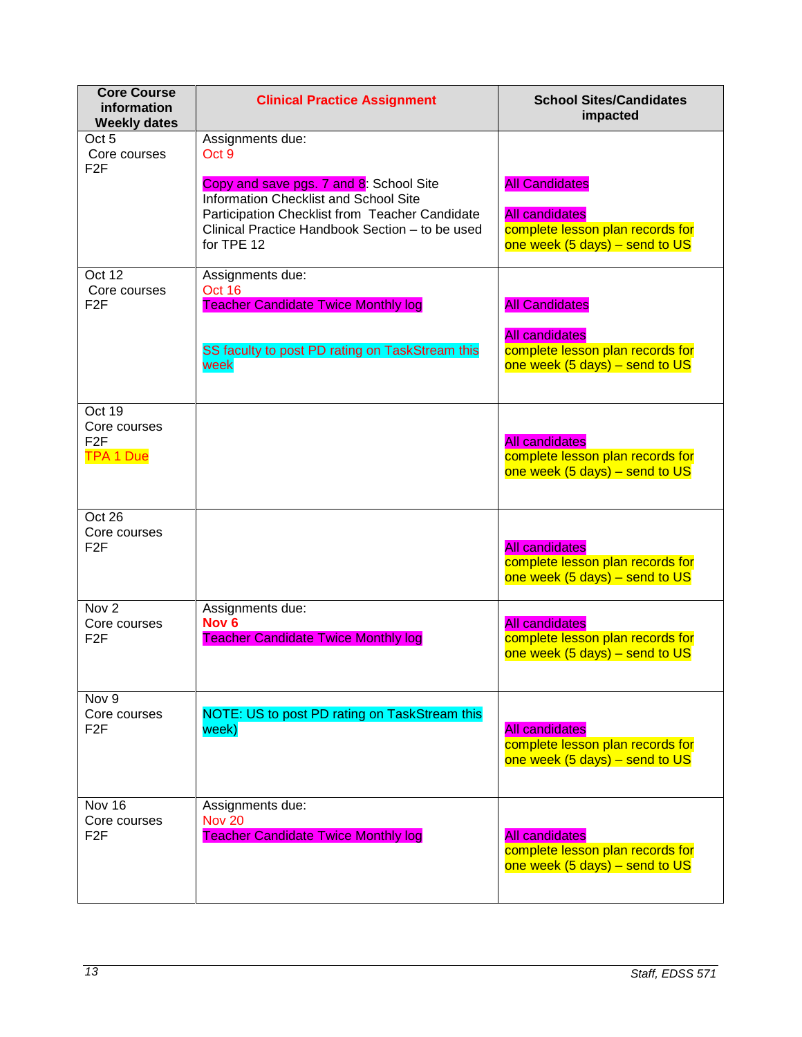| <b>Core Course</b><br>information<br><b>Weekly dates</b>       | <b>Clinical Practice Assignment</b>                                                                                                                                                                 | <b>School Sites/Candidates</b><br>impacted                                                                                     |
|----------------------------------------------------------------|-----------------------------------------------------------------------------------------------------------------------------------------------------------------------------------------------------|--------------------------------------------------------------------------------------------------------------------------------|
| Oct 5<br>Core courses<br>F <sub>2</sub> F                      | Assignments due:<br>Oct 9                                                                                                                                                                           |                                                                                                                                |
|                                                                | Copy and save pgs. 7 and 8: School Site<br>Information Checklist and School Site<br>Participation Checklist from Teacher Candidate<br>Clinical Practice Handbook Section - to be used<br>for TPE 12 | <b>All Candidates</b><br><b>All candidates</b><br>complete lesson plan records for<br>one week $(5 \text{ days})$ – send to US |
| Oct 12<br>Core courses<br>F <sub>2F</sub>                      | Assignments due:<br>Oct 16<br><b>Teacher Candidate Twice Monthly log</b>                                                                                                                            | <b>All Candidates</b>                                                                                                          |
|                                                                | SS faculty to post PD rating on TaskStream this<br>week                                                                                                                                             | <b>All candidates</b><br>complete lesson plan records for<br>one week $(5 \text{ days})$ – send to US                          |
| Oct 19<br>Core courses<br>F <sub>2</sub> F<br><b>TPA 1 Due</b> |                                                                                                                                                                                                     | <b>All candidates</b><br>complete lesson plan records for<br>one week $(5 \text{ days})$ – send to US                          |
| Oct 26<br>Core courses<br>F <sub>2F</sub>                      |                                                                                                                                                                                                     | <b>All candidates</b><br>complete lesson plan records for<br>one week (5 days) - send to US                                    |
| Nov <sub>2</sub><br>Core courses<br>F <sub>2F</sub>            | Assignments due:<br>Nov <sub>6</sub><br><b>Teacher Candidate Twice Monthly log</b>                                                                                                                  | <b>All candidates</b><br>complete lesson plan records for<br>one week $(5 \text{ days})$ – send to US                          |
| Nov 9<br>Core courses<br>F2F                                   | NOTE: US to post PD rating on TaskStream this<br>week)                                                                                                                                              | <b>All candidates</b><br>complete lesson plan records for<br>one week $(5 \text{ days})$ – send to US                          |
| Nov 16<br>Core courses<br>F2F                                  | Assignments due:<br><b>Nov 20</b><br><b>Teacher Candidate Twice Monthly log</b>                                                                                                                     | <b>All candidates</b><br>complete lesson plan records for<br>one week $(5 \text{ days})$ – send to US                          |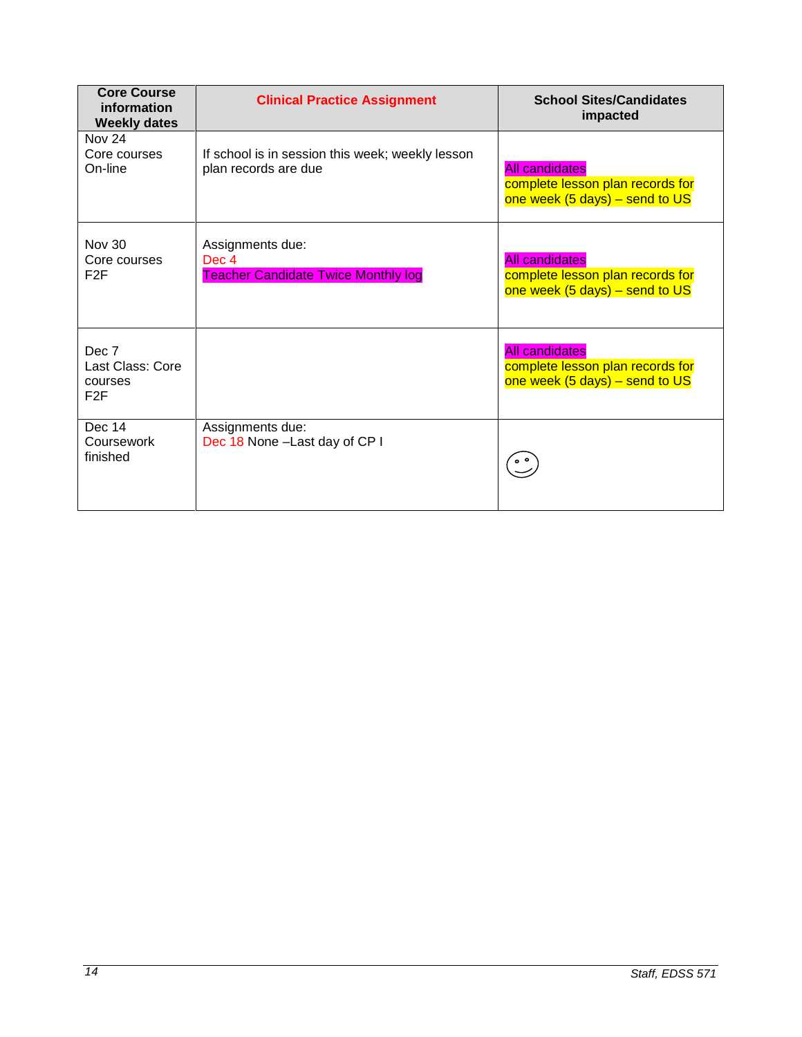| <b>Core Course</b><br>information<br><b>Weekly dates</b> | <b>Clinical Practice Assignment</b>                                      | <b>School Sites/Candidates</b><br>impacted                                                            |
|----------------------------------------------------------|--------------------------------------------------------------------------|-------------------------------------------------------------------------------------------------------|
| <b>Nov 24</b><br>Core courses<br>On-line                 | If school is in session this week; weekly lesson<br>plan records are due | <b>All candidates</b><br>complete lesson plan records for<br>one week $(5 \text{ days})$ – send to US |
| <b>Nov 30</b><br>Core courses<br>F <sub>2</sub> F        | Assignments due:<br>Dec 4<br><b>Teacher Candidate Twice Monthly log</b>  | <b>All candidates</b><br>complete lesson plan records for<br>one week $(5 \text{ days})$ – send to US |
| Dec 7<br>Last Class: Core<br>courses<br>F2F              |                                                                          | <b>All candidates</b><br>complete lesson plan records for<br>one week $(5 \text{ days})$ – send to US |
| Dec 14<br>Coursework<br>finished                         | Assignments due:<br>Dec 18 None - Last day of CP I                       |                                                                                                       |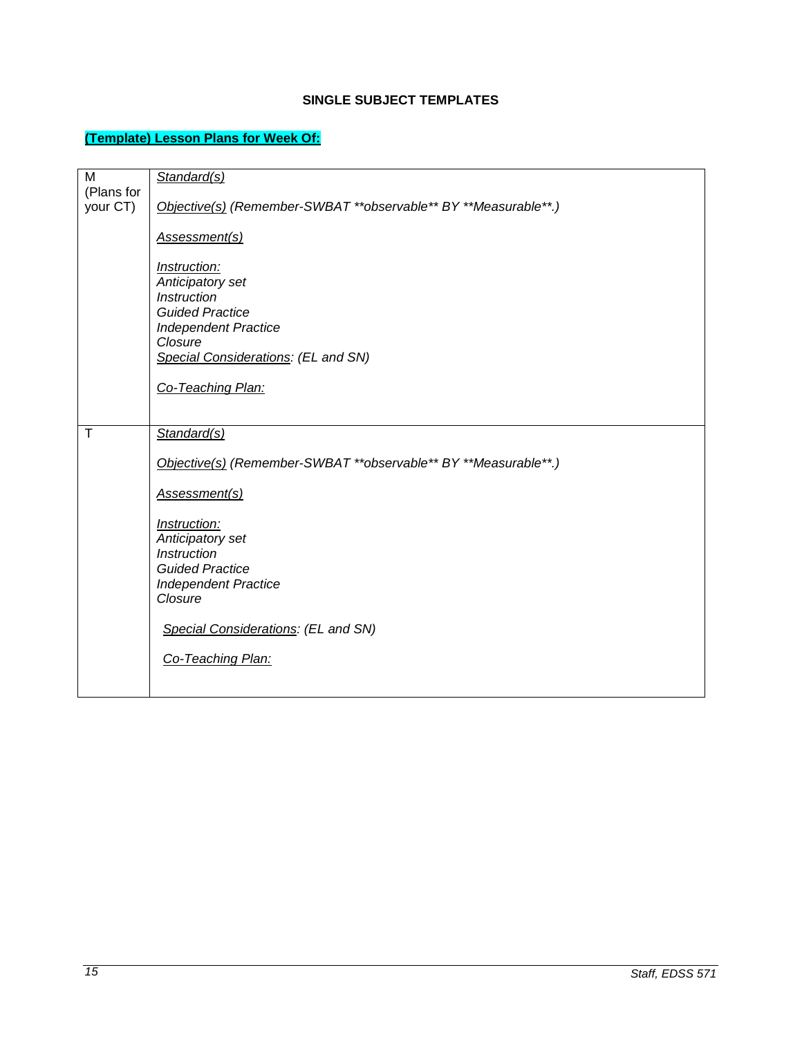# **SINGLE SUBJECT TEMPLATES**

# <span id="page-14-1"></span><span id="page-14-0"></span>**(Template) Lesson Plans for Week Of:**

| M          | Standard(s)                                                     |
|------------|-----------------------------------------------------------------|
| (Plans for |                                                                 |
| your CT)   | Objective(s) (Remember-SWBAT **observable** BY **Measurable**.) |
|            |                                                                 |
|            | Assessment(s)                                                   |
|            |                                                                 |
|            | Instruction:                                                    |
|            | Anticipatory set                                                |
|            | Instruction                                                     |
|            | <b>Guided Practice</b>                                          |
|            | <b>Independent Practice</b>                                     |
|            | Closure                                                         |
|            | Special Considerations: (EL and SN)                             |
|            |                                                                 |
|            | Co-Teaching Plan:                                               |
|            |                                                                 |
|            |                                                                 |
| $\top$     | Standard(s)                                                     |
|            |                                                                 |
|            | Objective(s) (Remember-SWBAT **observable** BY **Measurable**.) |
|            |                                                                 |
|            | Assessment(s)                                                   |
|            |                                                                 |
|            | Instruction:                                                    |
|            | Anticipatory set                                                |
|            | <b>Instruction</b>                                              |
|            | <b>Guided Practice</b>                                          |
|            | <b>Independent Practice</b>                                     |
|            | Closure                                                         |
|            |                                                                 |
|            | Special Considerations: (EL and SN)                             |
|            |                                                                 |
|            | Co-Teaching Plan:                                               |
|            |                                                                 |
|            |                                                                 |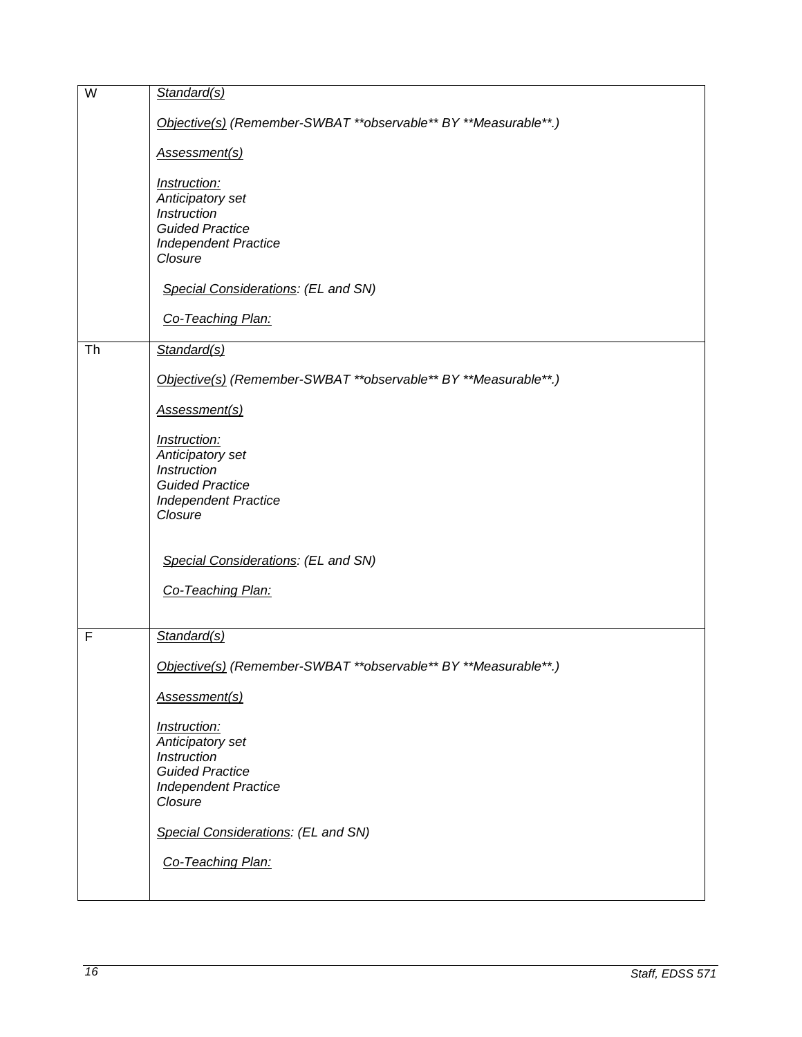| W  | Standard(s)                                                     |
|----|-----------------------------------------------------------------|
|    | Objective(s) (Remember-SWBAT **observable** BY **Measurable**.) |
|    | Assessment(s)                                                   |
|    | Instruction:                                                    |
|    | Anticipatory set                                                |
|    | Instruction<br><b>Guided Practice</b>                           |
|    | <b>Independent Practice</b>                                     |
|    | Closure                                                         |
|    | Special Considerations: (EL and SN)                             |
|    | Co-Teaching Plan:                                               |
| Th | Standard(s)                                                     |
|    | Objective(s) (Remember-SWBAT **observable** BY **Measurable**.) |
|    | Assessment(s)                                                   |
|    | Instruction:                                                    |
|    | Anticipatory set<br>Instruction                                 |
|    | <b>Guided Practice</b>                                          |
|    | <b>Independent Practice</b>                                     |
|    | Closure                                                         |
|    | Special Considerations: (EL and SN)                             |
|    | Co-Teaching Plan:                                               |
|    |                                                                 |
| F  | Standard(s)                                                     |
|    | Objective(s) (Remember-SWBAT **observable** BY **Measurable**.) |
|    | Assessment(s)                                                   |
|    | Instruction:                                                    |
|    | Anticipatory set                                                |
|    | Instruction                                                     |
|    | <b>Guided Practice</b><br><b>Independent Practice</b>           |
|    | Closure                                                         |
|    | Special Considerations: (EL and SN)                             |
|    | Co-Teaching Plan:                                               |
|    |                                                                 |
|    |                                                                 |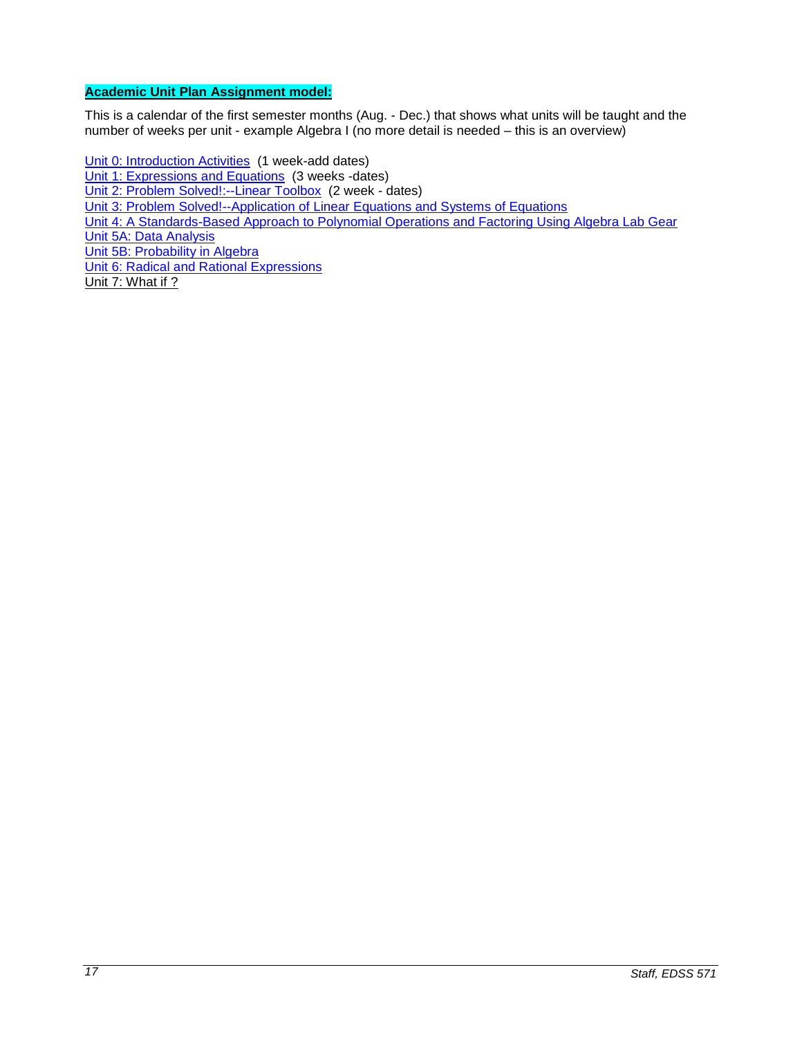# <span id="page-16-0"></span>**Academic Unit Plan Assignment model:**

This is a calendar of the first semester months (Aug. - Dec.) that shows what units will be taught and the number of weeks per unit - example Algebra I (no more detail is needed – this is an overview)

Unit 0: [Introduction Activities](http://wveis.k12.wv.us/teach21/public/Uplans/UPview.cfm?action=V1&tsele1=2&tsele2=116&tsele3i=573) (1 week-add dates) [Unit 1: Expressions and Equations](http://wveis.k12.wv.us/teach21/public/Uplans/UPview.cfm?action=V1&tsele1=2&tsele2=116&tsele3i=570) (3 weeks -dates) [Unit 2: Problem Solved!:--Linear Toolbox](http://wveis.k12.wv.us/teach21/public/Uplans/UPview.cfm?action=V1&tsele1=2&tsele2=116&tsele3i=572) (2 week - dates) [Unit 3: Problem Solved!--Application of Linear Equations and Systems of Equations](http://wveis.k12.wv.us/teach21/public/Uplans/UPview.cfm?action=V1&tsele1=2&tsele2=116&tsele3i=566) [Unit 4: A Standards-Based Approach to Polynomial Operations and Factoring Using Algebra Lab Gear](http://wveis.k12.wv.us/teach21/public/Uplans/UPview.cfm?action=V1&tsele1=2&tsele2=116&tsele3i=569) [Unit 5A: Data Analysis](http://wveis.k12.wv.us/teach21/public/Uplans/UPview.cfm?action=V1&tsele1=2&tsele2=116&tsele3i=567) [Unit 5B: Probability in Algebra](http://wveis.k12.wv.us/teach21/public/Uplans/UPview.cfm?action=V1&tsele1=2&tsele2=116&tsele3i=565) [Unit 6: Radical and Rational Expressions](http://wveis.k12.wv.us/teach21/public/Uplans/UPview.cfm?action=V1&tsele1=2&tsele2=116&tsele3i=568) Unit 7: What if ?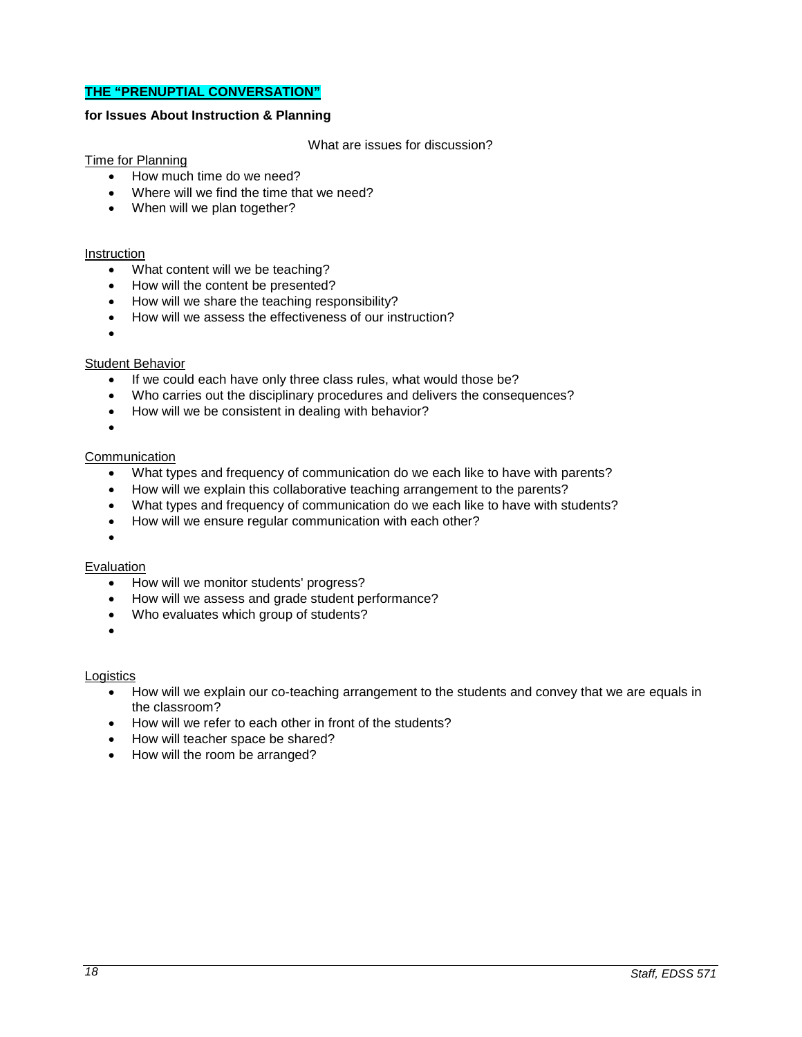## <span id="page-17-0"></span>**THE "PRENUPTIAL CONVERSATION"**

#### **for Issues About Instruction & Planning**

#### What are issues for discussion?

#### Time for Planning

- How much time do we need?
- Where will we find the time that we need?
- When will we plan together?

#### Instruction

- What content will we be teaching?
- How will the content be presented?
- How will we share the teaching responsibility?
- How will we assess the effectiveness of our instruction?
- •

## Student Behavior

- If we could each have only three class rules, what would those be?
- Who carries out the disciplinary procedures and delivers the consequences?
- How will we be consistent in dealing with behavior?
- •

#### **Communication**

- What types and frequency of communication do we each like to have with parents?
- How will we explain this collaborative teaching arrangement to the parents?
- What types and frequency of communication do we each like to have with students?
- How will we ensure regular communication with each other?
- •

#### **Evaluation**

- How will we monitor students' progress?
- How will we assess and grade student performance?
- Who evaluates which group of students?
- •

#### Logistics

- How will we explain our co-teaching arrangement to the students and convey that we are equals in the classroom?
- How will we refer to each other in front of the students?
- How will teacher space be shared?
- How will the room be arranged?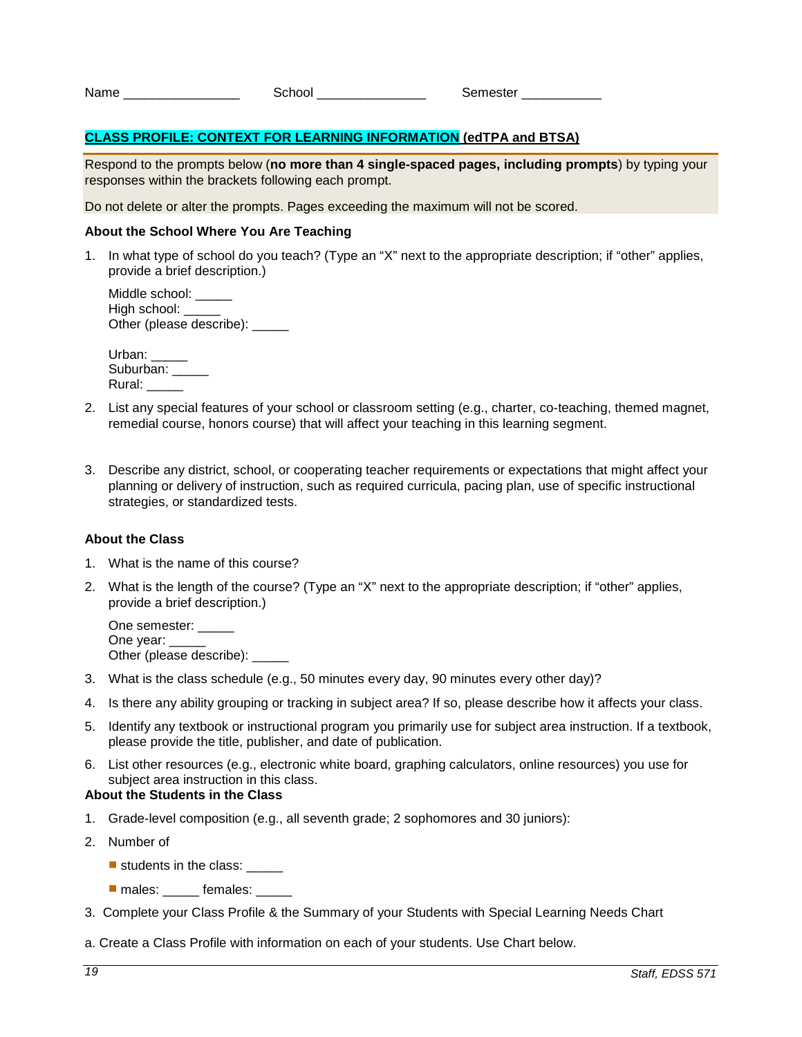| Name<br>School |
|----------------|
|----------------|

Semester \_\_\_\_\_\_

# <span id="page-18-0"></span>**CLASS PROFILE: CONTEXT FOR LEARNING INFORMATION (edTPA and BTSA)**

Respond to the prompts below (**no more than 4 single-spaced pages, including prompts**) by typing your responses within the brackets following each prompt.

Do not delete or alter the prompts. Pages exceeding the maximum will not be scored.

#### **About the School Where You Are Teaching**

1. In what type of school do you teach? (Type an "X" next to the appropriate description; if "other" applies, provide a brief description.)

Middle school: High school: \_\_\_\_\_ Other (please describe): \_\_\_\_\_

Urban: Suburban: Rural:

- 2. List any special features of your school or classroom setting (e.g., charter, co-teaching, themed magnet, remedial course, honors course) that will affect your teaching in this learning segment.
- 3. Describe any district, school, or cooperating teacher requirements or expectations that might affect your planning or delivery of instruction, such as required curricula, pacing plan, use of specific instructional strategies, or standardized tests.

#### **About the Class**

- 1. What is the name of this course?
- 2. What is the length of the course? (Type an "X" next to the appropriate description; if "other" applies, provide a brief description.)

One semester: One year: Other (please describe): \_\_\_\_\_

- 3. What is the class schedule (e.g., 50 minutes every day, 90 minutes every other day)?
- 4. Is there any ability grouping or tracking in subject area? If so, please describe how it affects your class.
- 5. Identify any textbook or instructional program you primarily use for subject area instruction. If a textbook, please provide the title, publisher, and date of publication.
- 6. List other resources (e.g., electronic white board, graphing calculators, online resources) you use for subject area instruction in this class.

### **About the Students in the Class**

- 1. Grade-level composition (e.g., all seventh grade; 2 sophomores and 30 juniors):
- 2. Number of
	- $\blacksquare$  students in the class:
	- **nales:** \_\_\_\_\_ females: \_\_\_\_\_
- 3. Complete your Class Profile & the Summary of your Students with Special Learning Needs Chart
- a. Create a Class Profile with information on each of your students. Use Chart below.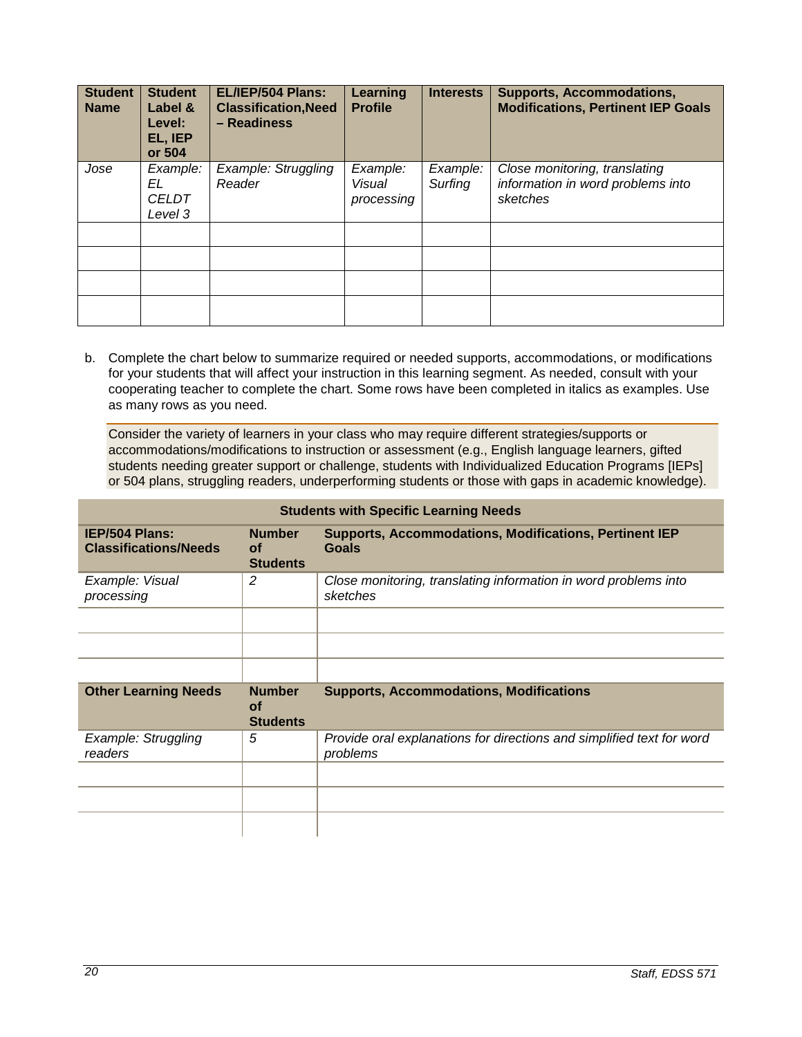| <b>Student</b><br><b>Name</b> | <b>Student</b><br>Label &<br>Level:<br>EL, IEP<br>or 504 | EL/IEP/504 Plans:<br><b>Classification, Need</b><br>- Readiness | Learning<br><b>Profile</b>       | <b>Interests</b>    | <b>Supports, Accommodations,</b><br><b>Modifications, Pertinent IEP Goals</b>  |
|-------------------------------|----------------------------------------------------------|-----------------------------------------------------------------|----------------------------------|---------------------|--------------------------------------------------------------------------------|
| Jose                          | Example:<br>EL<br><b>CELDT</b><br>Level 3                | Example: Struggling<br>Reader                                   | Example:<br>Visual<br>processing | Example:<br>Surfing | Close monitoring, translating<br>information in word problems into<br>sketches |
|                               |                                                          |                                                                 |                                  |                     |                                                                                |
|                               |                                                          |                                                                 |                                  |                     |                                                                                |
|                               |                                                          |                                                                 |                                  |                     |                                                                                |
|                               |                                                          |                                                                 |                                  |                     |                                                                                |

b. Complete the chart below to summarize required or needed supports, accommodations, or modifications for your students that will affect your instruction in this learning segment. As needed, consult with your cooperating teacher to complete the chart. Some rows have been completed in italics as examples. Use as many rows as you need.

Consider the variety of learners in your class who may require different strategies/supports or accommodations/modifications to instruction or assessment (e.g., English language learners, gifted students needing greater support or challenge, students with Individualized Education Programs [IEPs] or 504 plans, struggling readers, underperforming students or those with gaps in academic knowledge).

| <b>Students with Specific Learning Needs</b>          |                                               |                                                                                   |  |
|-------------------------------------------------------|-----------------------------------------------|-----------------------------------------------------------------------------------|--|
| <b>IEP/504 Plans:</b><br><b>Classifications/Needs</b> | <b>Number</b><br>Οf<br><b>Students</b>        | <b>Supports, Accommodations, Modifications, Pertinent IEP</b><br><b>Goals</b>     |  |
| Example: Visual<br>processing                         | 2                                             | Close monitoring, translating information in word problems into<br>sketches       |  |
|                                                       |                                               |                                                                                   |  |
| <b>Other Learning Needs</b>                           | <b>Number</b><br><b>of</b><br><b>Students</b> | <b>Supports, Accommodations, Modifications</b>                                    |  |
| Example: Struggling<br>readers                        | 5                                             | Provide oral explanations for directions and simplified text for word<br>problems |  |
|                                                       |                                               |                                                                                   |  |